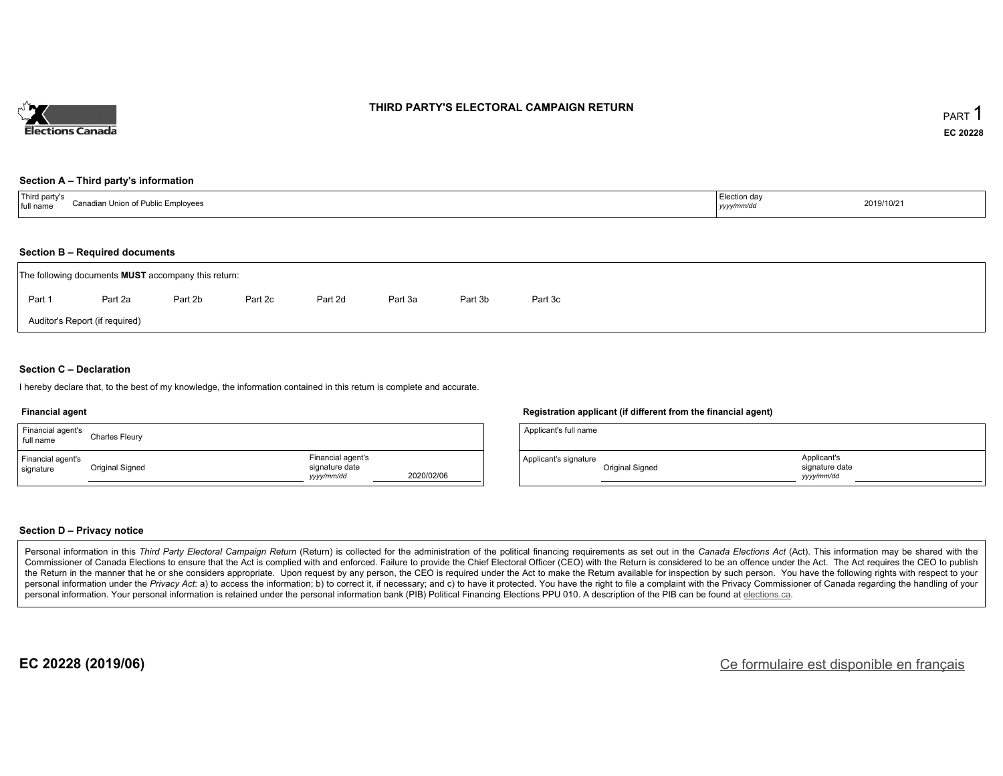

### **THIRD PARTY'S ELECTORAL CAMPAIGN RETURN**

#### **Section A – Third party's information**

| Third party s<br>Canadis.<br>ın Union of Publ<br>™ Emni∩vees<br>l full<br>name<br><b>INIOVEES</b> | Election day<br>уууулттус | 2019/10/21 |
|---------------------------------------------------------------------------------------------------|---------------------------|------------|
|---------------------------------------------------------------------------------------------------|---------------------------|------------|

#### **Section B – Required documents**

|                                | The following documents <b>MUST</b> accompany this return: |         |         |         |         |         |         |  |  |  |  |  |
|--------------------------------|------------------------------------------------------------|---------|---------|---------|---------|---------|---------|--|--|--|--|--|
| Part 1                         | Part 2a                                                    | Part 2b | Part 2c | Part 2d | Part 3a | Part 3b | Part 3c |  |  |  |  |  |
| Auditor's Report (if required) |                                                            |         |         |         |         |         |         |  |  |  |  |  |

### **Section C – Declaration**

I hereby declare that, to the best of my knowledge, the information contained in this return is complete and accurate.

#### **Financial agent**

| Financial agent's<br>full name | <b>Charles Fleury</b> |                                                  |            |
|--------------------------------|-----------------------|--------------------------------------------------|------------|
| Financial agent's<br>signature | Original Signed       | Financial agent's<br>signature date<br>vyy/mm/dd | 2020/02/06 |

#### **Registration applicant (if different from the financial agent)**

| Applicant's full name |                 |                                            |
|-----------------------|-----------------|--------------------------------------------|
| Applicant's signature | Original Signed | Applicant's<br>signature date<br>vyy/mm/dd |

#### **Section D – Privacy notice**

Personal information in this Third Party Electoral Campaign Return (Return) is collected for the administration of the political financing requirements as set out in the Canada Elections Act (Act). This information may be Commissioner of Canada Elections to ensure that the Act is complied with and enforced. Failure to provide the Chief Electoral Officer (CEO) with the Return is considered to be an offence under the Act. The Act requires the the Return in the manner that he or she considers appropriate. Upon request by any person, the CEO is required under the Act to make the Return available for inspection by such person. You have the following rights with re personal information under the Privacy Act: a) to access the information; b) to correct it, if necessary; and c) to have it protected. You have the right to file a complaint with the Privacy Commissioner of Canada regardin personal information. Your personal information is retained under the personal information bank (PIB) Political Financing Elections PPU 010. A description of the PIB can be found at elections.ca.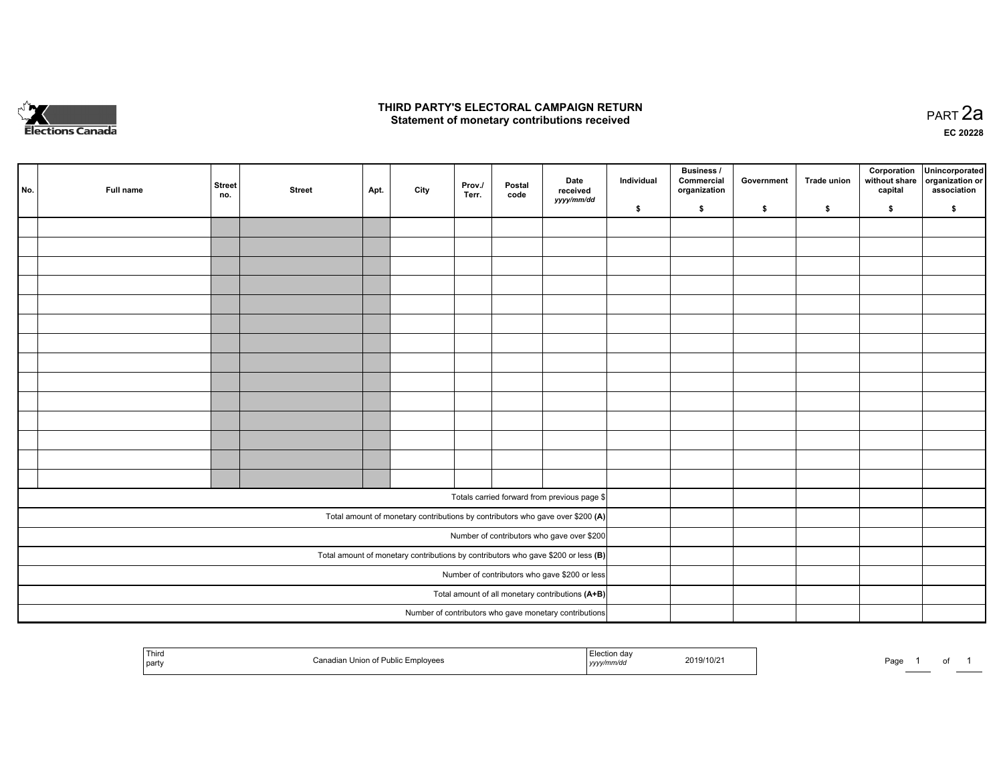

### **THIRD PARTY'S ELECTORAL CAMPAIGN RETURN HIRD PARTY'S ELECTORAL CAMPAIGN RETURN<br>Statement of monetary contributions received PART 2a PART 2a**

**EC 20228**

| No. | Full name | <b>Street</b><br>no. | <b>Street</b> | Apt. | City | Prov./<br>Terr. | Postal<br>code | Date<br>received                                                                    | Individual | <b>Business /</b><br>Commercial<br>organization | Government | Trade union | Corporation<br>without share<br>capital | Unincorporated<br>organization or<br>association |
|-----|-----------|----------------------|---------------|------|------|-----------------|----------------|-------------------------------------------------------------------------------------|------------|-------------------------------------------------|------------|-------------|-----------------------------------------|--------------------------------------------------|
|     |           |                      |               |      |      |                 |                | yyyy/mm/dd                                                                          | \$         | \$                                              | \$         | \$          | \$                                      | \$                                               |
|     |           |                      |               |      |      |                 |                |                                                                                     |            |                                                 |            |             |                                         |                                                  |
|     |           |                      |               |      |      |                 |                |                                                                                     |            |                                                 |            |             |                                         |                                                  |
|     |           |                      |               |      |      |                 |                |                                                                                     |            |                                                 |            |             |                                         |                                                  |
|     |           |                      |               |      |      |                 |                |                                                                                     |            |                                                 |            |             |                                         |                                                  |
|     |           |                      |               |      |      |                 |                |                                                                                     |            |                                                 |            |             |                                         |                                                  |
|     |           |                      |               |      |      |                 |                |                                                                                     |            |                                                 |            |             |                                         |                                                  |
|     |           |                      |               |      |      |                 |                |                                                                                     |            |                                                 |            |             |                                         |                                                  |
|     |           |                      |               |      |      |                 |                |                                                                                     |            |                                                 |            |             |                                         |                                                  |
|     |           |                      |               |      |      |                 |                |                                                                                     |            |                                                 |            |             |                                         |                                                  |
|     |           |                      |               |      |      |                 |                |                                                                                     |            |                                                 |            |             |                                         |                                                  |
|     |           |                      |               |      |      |                 |                |                                                                                     |            |                                                 |            |             |                                         |                                                  |
|     |           |                      |               |      |      |                 |                |                                                                                     |            |                                                 |            |             |                                         |                                                  |
|     |           |                      |               |      |      |                 |                |                                                                                     |            |                                                 |            |             |                                         |                                                  |
|     |           |                      |               |      |      |                 |                |                                                                                     |            |                                                 |            |             |                                         |                                                  |
|     |           |                      |               |      |      |                 |                | Totals carried forward from previous page \$                                        |            |                                                 |            |             |                                         |                                                  |
|     |           |                      |               |      |      |                 |                | Total amount of monetary contributions by contributors who gave over \$200 (A)      |            |                                                 |            |             |                                         |                                                  |
|     |           |                      |               |      |      |                 |                | Number of contributors who gave over \$200                                          |            |                                                 |            |             |                                         |                                                  |
|     |           |                      |               |      |      |                 |                | Total amount of monetary contributions by contributors who gave \$200 or less $(B)$ |            |                                                 |            |             |                                         |                                                  |
|     |           |                      |               |      |      |                 |                | Number of contributors who gave \$200 or less                                       |            |                                                 |            |             |                                         |                                                  |
|     |           |                      |               |      |      |                 |                | Total amount of all monetary contributions (A+B)                                    |            |                                                 |            |             |                                         |                                                  |
|     |           |                      |               |      |      |                 |                | Number of contributors who gave monetary contributions                              |            |                                                 |            |             |                                         |                                                  |

| <sup>1</sup> Third<br>! part∖ | `on:<br>mployees<br>uolle | ntion da∿<br>,,,,, | 2019/10/2 | Page |  | $\cdot$ |  |
|-------------------------------|---------------------------|--------------------|-----------|------|--|---------|--|
|-------------------------------|---------------------------|--------------------|-----------|------|--|---------|--|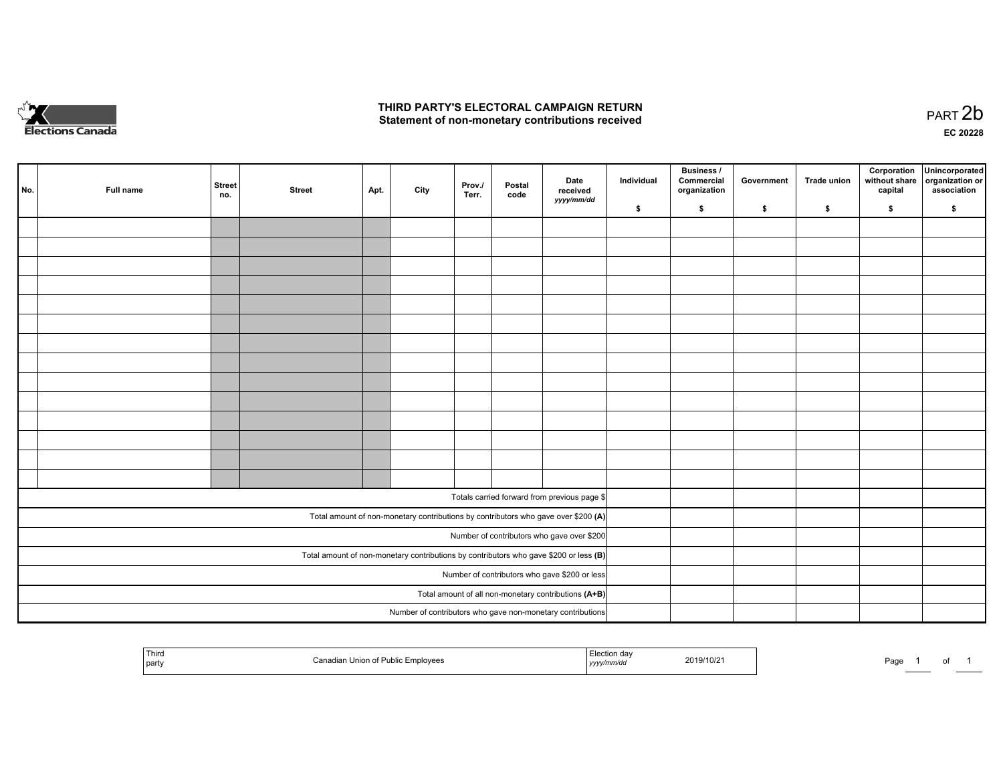

## **THIRD PARTY'S ELECTORAL CAMPAIGN RETURN**  THIRD PARTY'S ELECTORAL CAMPAIGN RETURN<br>Statement of non-monetary contributions received

of 1

| No.                                                                                     | Full name | <b>Street</b><br>no. | <b>Street</b> | Apt. | City | Prov./<br>Terr. | Postal<br>code | Date<br>received<br>yyyy/mm/dd                                                     | Individual | <b>Business /</b><br>Commercial<br>organization | Government | Trade union | Corporation<br>without share<br>capital | Unincorporated<br>organization or<br>association |
|-----------------------------------------------------------------------------------------|-----------|----------------------|---------------|------|------|-----------------|----------------|------------------------------------------------------------------------------------|------------|-------------------------------------------------|------------|-------------|-----------------------------------------|--------------------------------------------------|
|                                                                                         |           |                      |               |      |      |                 |                |                                                                                    | \$         | \$                                              | \$         | \$          | \$                                      | \$                                               |
|                                                                                         |           |                      |               |      |      |                 |                |                                                                                    |            |                                                 |            |             |                                         |                                                  |
|                                                                                         |           |                      |               |      |      |                 |                |                                                                                    |            |                                                 |            |             |                                         |                                                  |
|                                                                                         |           |                      |               |      |      |                 |                |                                                                                    |            |                                                 |            |             |                                         |                                                  |
|                                                                                         |           |                      |               |      |      |                 |                |                                                                                    |            |                                                 |            |             |                                         |                                                  |
|                                                                                         |           |                      |               |      |      |                 |                |                                                                                    |            |                                                 |            |             |                                         |                                                  |
|                                                                                         |           |                      |               |      |      |                 |                |                                                                                    |            |                                                 |            |             |                                         |                                                  |
|                                                                                         |           |                      |               |      |      |                 |                |                                                                                    |            |                                                 |            |             |                                         |                                                  |
|                                                                                         |           |                      |               |      |      |                 |                |                                                                                    |            |                                                 |            |             |                                         |                                                  |
|                                                                                         |           |                      |               |      |      |                 |                |                                                                                    |            |                                                 |            |             |                                         |                                                  |
|                                                                                         |           |                      |               |      |      |                 |                |                                                                                    |            |                                                 |            |             |                                         |                                                  |
|                                                                                         |           |                      |               |      |      |                 |                |                                                                                    |            |                                                 |            |             |                                         |                                                  |
|                                                                                         |           |                      |               |      |      |                 |                |                                                                                    |            |                                                 |            |             |                                         |                                                  |
|                                                                                         |           |                      |               |      |      |                 |                |                                                                                    |            |                                                 |            |             |                                         |                                                  |
|                                                                                         |           |                      |               |      |      |                 |                |                                                                                    |            |                                                 |            |             |                                         |                                                  |
|                                                                                         |           |                      |               |      |      |                 |                |                                                                                    |            |                                                 |            |             |                                         |                                                  |
|                                                                                         |           |                      |               |      |      |                 |                | Totals carried forward from previous page \$                                       |            |                                                 |            |             |                                         |                                                  |
|                                                                                         |           |                      |               |      |      |                 |                | Total amount of non-monetary contributions by contributors who gave over \$200 (A) |            |                                                 |            |             |                                         |                                                  |
| Number of contributors who gave over \$200                                              |           |                      |               |      |      |                 |                |                                                                                    |            |                                                 |            |             |                                         |                                                  |
| Total amount of non-monetary contributions by contributors who gave \$200 or less $(B)$ |           |                      |               |      |      |                 |                |                                                                                    |            |                                                 |            |             |                                         |                                                  |
| Number of contributors who gave \$200 or less                                           |           |                      |               |      |      |                 |                |                                                                                    |            |                                                 |            |             |                                         |                                                  |
| Total amount of all non-monetary contributions (A+B)                                    |           |                      |               |      |      |                 |                |                                                                                    |            |                                                 |            |             |                                         |                                                  |
|                                                                                         |           |                      |               |      |      |                 |                | Number of contributors who gave non-monetary contributions                         |            |                                                 |            |             |                                         |                                                  |
|                                                                                         |           |                      |               |      |      |                 |                |                                                                                    |            |                                                 |            |             |                                         |                                                  |

| ' Thira<br>  part | Canadian Union of Public Employees | ⊟lection dav<br>w/mm/a.<br>yyyyır | 2019/10/21 | Pagu |  |
|-------------------|------------------------------------|-----------------------------------|------------|------|--|
|-------------------|------------------------------------|-----------------------------------|------------|------|--|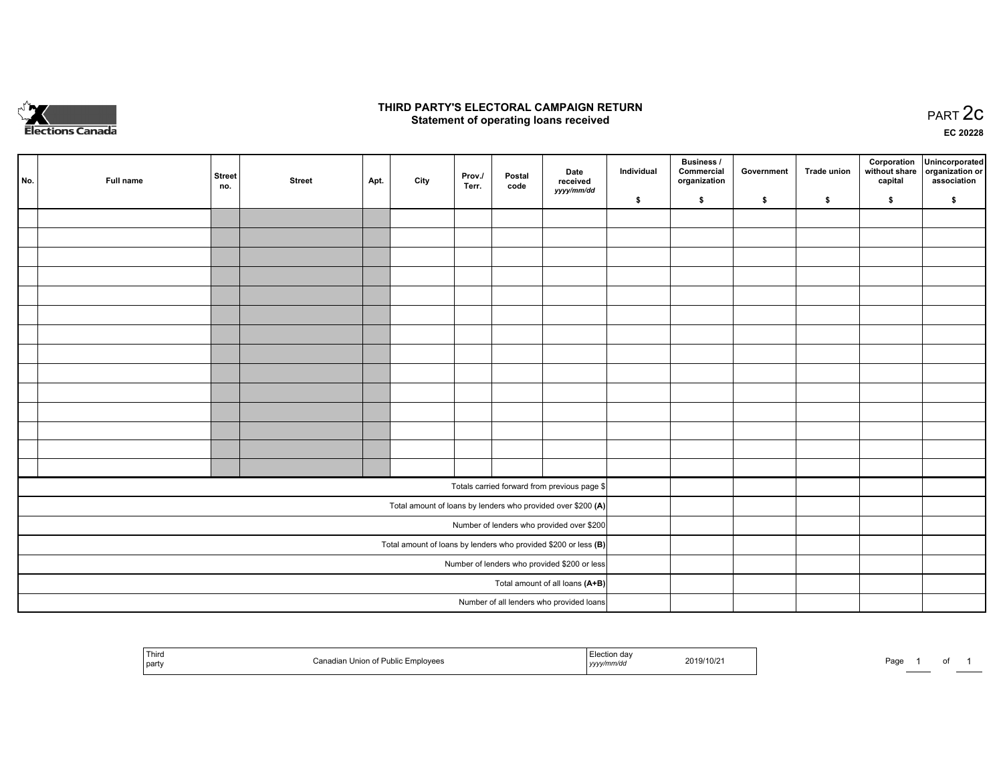

## **THIRD PARTY'S ELECTORAL CAMPAIGN RETURN STATE:** PRACT OF OPPRESS TO PART 2C STATE STATE STATE STATE STATE STATE STATE STATE STATE STATE STATE STATE STA<br>PART 2C Statement of operating loans received

**EC 20228**

|                                                                 | No. | Full name | <b>Street</b><br>no. | <b>Street</b> | Apt. | City | Prov./<br>Terr. | Postal<br>code | Date<br>received                                             | Individual | <b>Business /</b><br>Commercial<br>organization | Government | <b>Trade union</b> | Corporation<br>capital | Unincorporated<br>without share   organization or<br>association |
|-----------------------------------------------------------------|-----|-----------|----------------------|---------------|------|------|-----------------|----------------|--------------------------------------------------------------|------------|-------------------------------------------------|------------|--------------------|------------------------|------------------------------------------------------------------|
|                                                                 |     |           |                      |               |      |      |                 |                | yyyy/mm/dd                                                   | \$         | \$                                              | \$         | \$                 | \$                     | \$                                                               |
|                                                                 |     |           |                      |               |      |      |                 |                |                                                              |            |                                                 |            |                    |                        |                                                                  |
|                                                                 |     |           |                      |               |      |      |                 |                |                                                              |            |                                                 |            |                    |                        |                                                                  |
|                                                                 |     |           |                      |               |      |      |                 |                |                                                              |            |                                                 |            |                    |                        |                                                                  |
|                                                                 |     |           |                      |               |      |      |                 |                |                                                              |            |                                                 |            |                    |                        |                                                                  |
|                                                                 |     |           |                      |               |      |      |                 |                |                                                              |            |                                                 |            |                    |                        |                                                                  |
|                                                                 |     |           |                      |               |      |      |                 |                |                                                              |            |                                                 |            |                    |                        |                                                                  |
|                                                                 |     |           |                      |               |      |      |                 |                |                                                              |            |                                                 |            |                    |                        |                                                                  |
|                                                                 |     |           |                      |               |      |      |                 |                |                                                              |            |                                                 |            |                    |                        |                                                                  |
|                                                                 |     |           |                      |               |      |      |                 |                |                                                              |            |                                                 |            |                    |                        |                                                                  |
|                                                                 |     |           |                      |               |      |      |                 |                |                                                              |            |                                                 |            |                    |                        |                                                                  |
|                                                                 |     |           |                      |               |      |      |                 |                |                                                              |            |                                                 |            |                    |                        |                                                                  |
|                                                                 |     |           |                      |               |      |      |                 |                |                                                              |            |                                                 |            |                    |                        |                                                                  |
|                                                                 |     |           |                      |               |      |      |                 |                |                                                              |            |                                                 |            |                    |                        |                                                                  |
|                                                                 |     |           |                      |               |      |      |                 |                |                                                              |            |                                                 |            |                    |                        |                                                                  |
|                                                                 |     |           |                      |               |      |      |                 |                | Totals carried forward from previous page \$                 |            |                                                 |            |                    |                        |                                                                  |
|                                                                 |     |           |                      |               |      |      |                 |                | Total amount of loans by lenders who provided over \$200 (A) |            |                                                 |            |                    |                        |                                                                  |
|                                                                 |     |           |                      |               |      |      |                 |                | Number of lenders who provided over \$200                    |            |                                                 |            |                    |                        |                                                                  |
| Total amount of loans by lenders who provided \$200 or less (B) |     |           |                      |               |      |      |                 |                |                                                              |            |                                                 |            |                    |                        |                                                                  |
| Number of lenders who provided \$200 or less                    |     |           |                      |               |      |      |                 |                |                                                              |            |                                                 |            |                    |                        |                                                                  |
| Total amount of all loans (A+B)                                 |     |           |                      |               |      |      |                 |                |                                                              |            |                                                 |            |                    |                        |                                                                  |
|                                                                 |     |           |                      |               |      |      |                 |                | Number of all lenders who provided loans                     |            |                                                 |            |                    |                        |                                                                  |

| Third<br>Public Emplovees<br>Union of Pu<br>  part<br>. | 2019/10/2 <sup>-</sup><br>,,,,, | Page |
|---------------------------------------------------------|---------------------------------|------|
|---------------------------------------------------------|---------------------------------|------|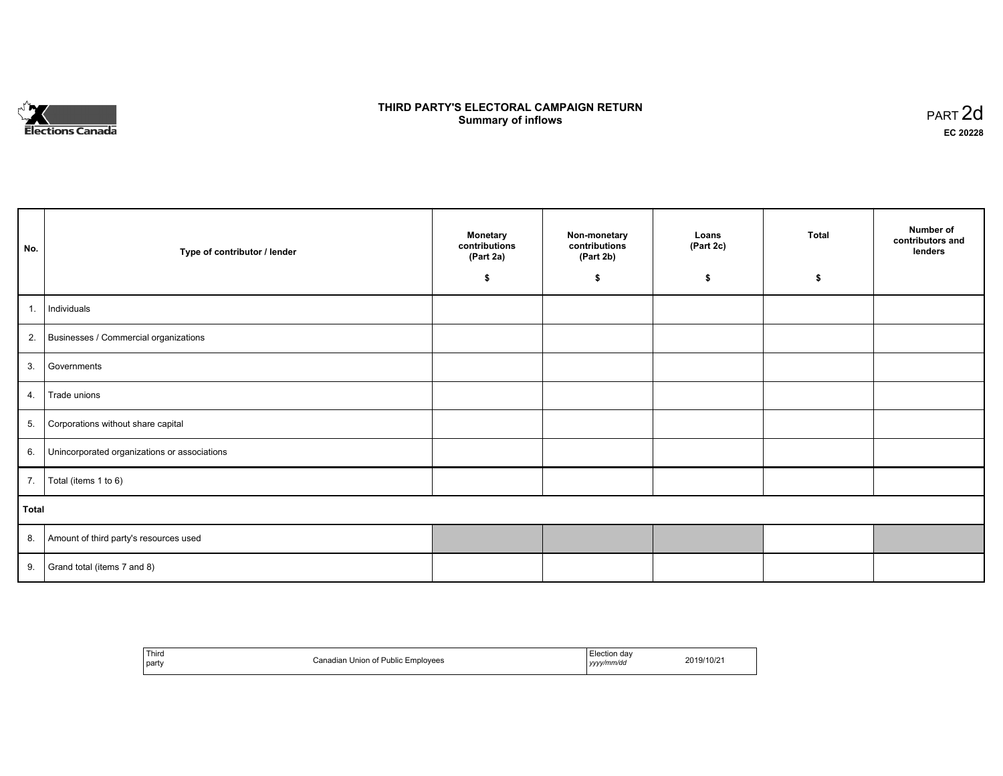

## **THIRD PARTY'S ELECTORAL CAMPAIGN RETURN S** ELECTORAL CAMPAIGN RETURN<br>Summary of inflows PART 2d

| No.   | Type of contributor / lender                    | <b>Monetary</b><br>contributions<br>(Part 2a)<br>\$ | Non-monetary<br>contributions<br>(Part 2b)<br>\$ | Loans<br>(Part 2c)<br>\$ | <b>Total</b><br>\$ | Number of<br>contributors and<br>lenders |
|-------|-------------------------------------------------|-----------------------------------------------------|--------------------------------------------------|--------------------------|--------------------|------------------------------------------|
|       |                                                 |                                                     |                                                  |                          |                    |                                          |
| 1.    | Individuals                                     |                                                     |                                                  |                          |                    |                                          |
|       | 2. Businesses / Commercial organizations        |                                                     |                                                  |                          |                    |                                          |
|       | 3. Governments                                  |                                                     |                                                  |                          |                    |                                          |
| 4.    | Trade unions                                    |                                                     |                                                  |                          |                    |                                          |
| 5.    | Corporations without share capital              |                                                     |                                                  |                          |                    |                                          |
|       | 6. Unincorporated organizations or associations |                                                     |                                                  |                          |                    |                                          |
| 7.    | Total (items 1 to 6)                            |                                                     |                                                  |                          |                    |                                          |
| Total |                                                 |                                                     |                                                  |                          |                    |                                          |
|       | 8. Amount of third party's resources used       |                                                     |                                                  |                          |                    |                                          |
|       | 9. Grand total (items $7$ and $8$ )             |                                                     |                                                  |                          |                    |                                          |

| Third<br>party<br>and the contract of the con- | `onodio<br>Union of Public Employees<br>. | Election dav<br>yyyy/mm/do<br>,,,, | 2019/10/2 |
|------------------------------------------------|-------------------------------------------|------------------------------------|-----------|
|------------------------------------------------|-------------------------------------------|------------------------------------|-----------|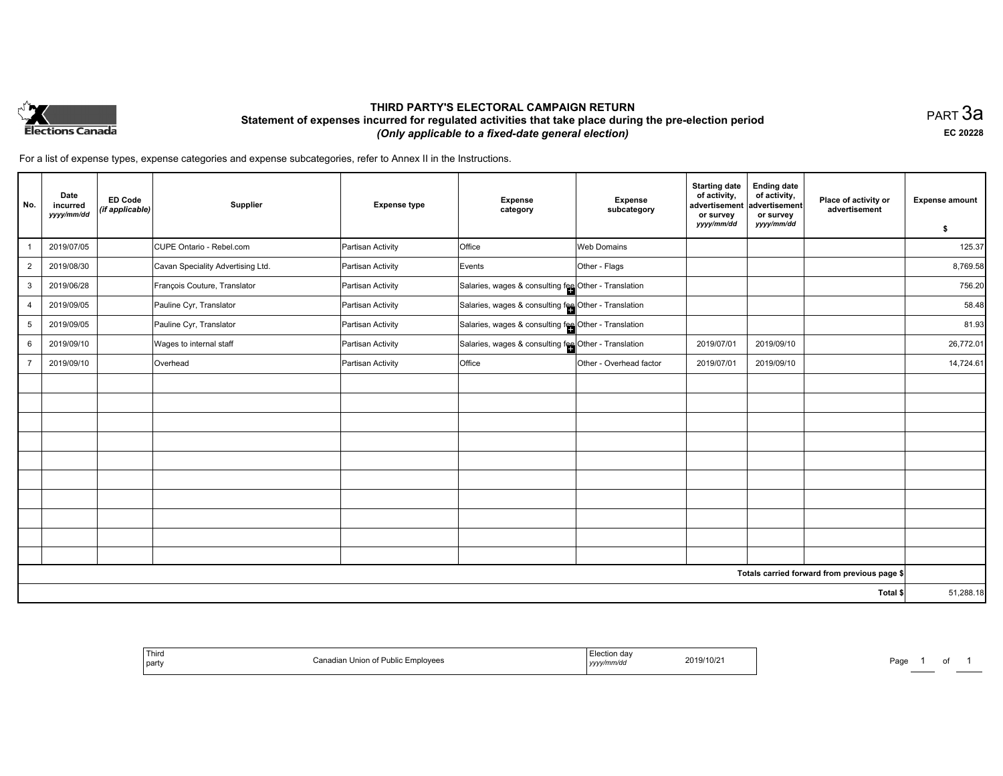

## **THIRD PARTY'S ELECTORAL CAMPAIGN RETURN Statement of expenses incurred for regulated activities that take place during the pre-election period**  *(Only applicable to a fixed-date general election)*

PART 3a **EC 20228**

For a list of expense types, expense categories and expense subcategories, refer to Annex II in the Instructions.

| No.            | Date<br>incurred<br>yyyy/mm/dd | <b>ED Code</b><br>(if applicable) | Supplier                          | <b>Expense type</b> | <b>Expense</b><br>category                           | <b>Expense</b><br>subcategory | <b>Starting date</b><br>of activity,<br>advertisement<br>or survey<br>yyyy/mm/dd | <b>Ending date</b><br>of activity,<br>advertisement<br>or survey<br>yyyy/mm/dd | Place of activity or<br>advertisement        | <b>Expense amount</b><br>\$ |
|----------------|--------------------------------|-----------------------------------|-----------------------------------|---------------------|------------------------------------------------------|-------------------------------|----------------------------------------------------------------------------------|--------------------------------------------------------------------------------|----------------------------------------------|-----------------------------|
|                | 2019/07/05                     |                                   | CUPE Ontario - Rebel.com          | Partisan Activity   | Office                                               | <b>Web Domains</b>            |                                                                                  |                                                                                |                                              | 125.37                      |
| $\overline{2}$ | 2019/08/30                     |                                   | Cavan Speciality Advertising Ltd. | Partisan Activity   | Events                                               | Other - Flags                 |                                                                                  |                                                                                |                                              | 8,769.58                    |
| 3              | 2019/06/28                     |                                   | François Couture, Translator      | Partisan Activity   | Salaries, wages & consulting fee Other - Translation |                               |                                                                                  |                                                                                |                                              | 756.20                      |
| 4              | 2019/09/05                     |                                   | Pauline Cyr, Translator           | Partisan Activity   | Salaries, wages & consulting fee Other - Translation |                               |                                                                                  |                                                                                |                                              | 58.48                       |
| 5              | 2019/09/05                     |                                   | Pauline Cyr, Translator           | Partisan Activity   | Salaries, wages & consulting fee Other - Translation |                               |                                                                                  |                                                                                |                                              | 81.93                       |
| 6              | 2019/09/10                     |                                   | Wages to internal staff           | Partisan Activity   | Salaries, wages & consulting fee Other - Translation |                               | 2019/07/01                                                                       | 2019/09/10                                                                     |                                              | 26,772.01                   |
| $\overline{7}$ | 2019/09/10                     |                                   | Overhead                          | Partisan Activity   | Office                                               | Other - Overhead factor       | 2019/07/01                                                                       | 2019/09/10                                                                     |                                              | 14,724.61                   |
|                |                                |                                   |                                   |                     |                                                      |                               |                                                                                  |                                                                                |                                              |                             |
|                |                                |                                   |                                   |                     |                                                      |                               |                                                                                  |                                                                                |                                              |                             |
|                |                                |                                   |                                   |                     |                                                      |                               |                                                                                  |                                                                                |                                              |                             |
|                |                                |                                   |                                   |                     |                                                      |                               |                                                                                  |                                                                                |                                              |                             |
|                |                                |                                   |                                   |                     |                                                      |                               |                                                                                  |                                                                                |                                              |                             |
|                |                                |                                   |                                   |                     |                                                      |                               |                                                                                  |                                                                                |                                              |                             |
|                |                                |                                   |                                   |                     |                                                      |                               |                                                                                  |                                                                                |                                              |                             |
|                |                                |                                   |                                   |                     |                                                      |                               |                                                                                  |                                                                                |                                              |                             |
|                |                                |                                   |                                   |                     |                                                      |                               |                                                                                  |                                                                                |                                              |                             |
|                |                                |                                   |                                   |                     |                                                      |                               |                                                                                  |                                                                                |                                              |                             |
|                |                                |                                   |                                   |                     |                                                      |                               |                                                                                  |                                                                                | Totals carried forward from previous page \$ |                             |
|                |                                |                                   |                                   |                     |                                                      |                               |                                                                                  |                                                                                | Total \$                                     | 51,288.18                   |

| 1 MITO<br>$\cdot$<br>  party | Union of<br>mplovee:<br>Publi | mvao<br>,,,,, | 2019/10/21<br>the contract of the contract of the contract of the contract of the contract of | ⊃ag∈ |  |  |  |
|------------------------------|-------------------------------|---------------|-----------------------------------------------------------------------------------------------|------|--|--|--|
|------------------------------|-------------------------------|---------------|-----------------------------------------------------------------------------------------------|------|--|--|--|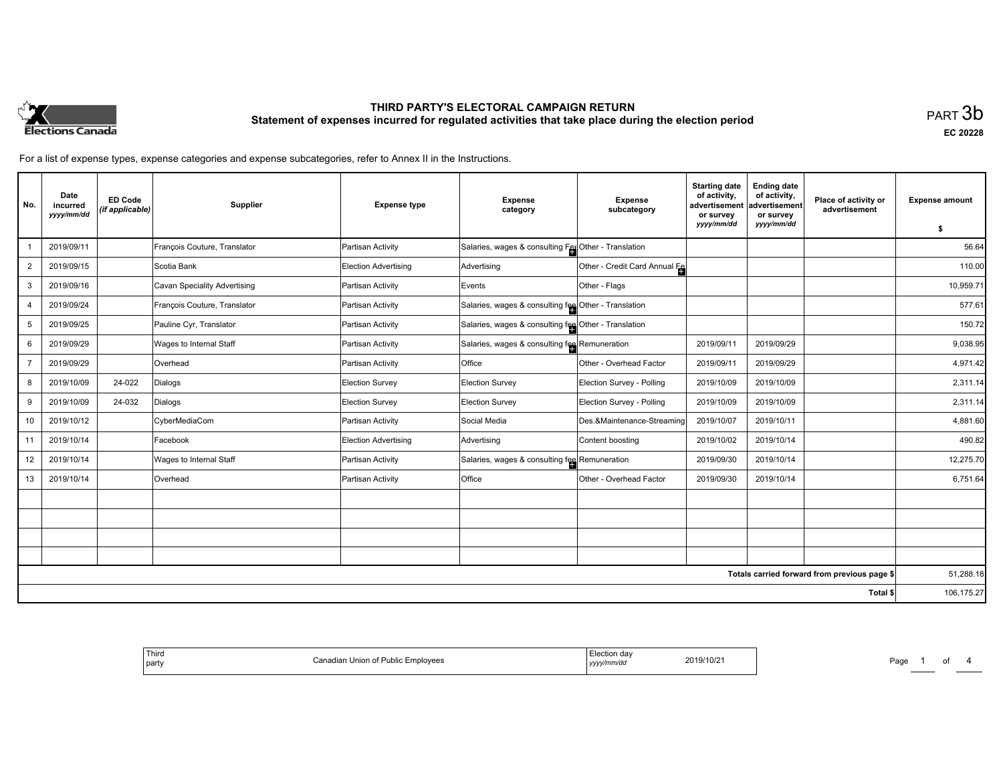

# **THIRD PARTY'S ELECTORAL CAMPAIGN RETURN Statement of expenses incurred for regulated activities that take place during the election period**<br>PART  $3\mathsf{b}$

**EC 20228**

For a list of expense types, expense categories and expense subcategories, refer to Annex II in the Instructions.

| No.            | Date<br>incurred<br>yyyy/mm/dd | <b>ED Code</b><br>(if applicable) | Supplier                     | <b>Expense type</b>  | <b>Expense</b><br>category                           | <b>Expense</b><br>subcategory | <b>Starting date</b><br>of activity.<br>advertisement<br>or survey | <b>Ending date</b><br>of activity,<br>advertisement<br>or survey | Place of activity or<br>advertisement        | <b>Expense amount</b> |
|----------------|--------------------------------|-----------------------------------|------------------------------|----------------------|------------------------------------------------------|-------------------------------|--------------------------------------------------------------------|------------------------------------------------------------------|----------------------------------------------|-----------------------|
|                |                                |                                   |                              |                      |                                                      |                               | yyyy/mm/dd                                                         | yyyy/mm/dd                                                       |                                              | \$                    |
|                | 2019/09/11                     |                                   | François Couture, Translator | Partisan Activity    | Salaries, wages & consulting Fer Other - Translation |                               |                                                                    |                                                                  |                                              | 56.64                 |
| $\overline{2}$ | 2019/09/15                     |                                   | Scotia Bank                  | Election Advertising | Advertising                                          | Other - Credit Card Annual Fe |                                                                    |                                                                  |                                              | 110.00                |
| 3              | 2019/09/16                     |                                   | Cavan Speciality Advertising | Partisan Activity    | Events                                               | Other - Flags                 |                                                                    |                                                                  |                                              | 10,959.71             |
| 4              | 2019/09/24                     |                                   | François Couture, Translator | Partisan Activity    | Salaries, wages & consulting fee Other - Translation |                               |                                                                    |                                                                  |                                              | 577.61                |
| 5              | 2019/09/25                     |                                   | Pauline Cyr, Translator      | Partisan Activity    | Salaries, wages & consulting fee Other - Translation |                               |                                                                    |                                                                  |                                              | 150.72                |
| 6              | 2019/09/29                     |                                   | Wages to Internal Staff      | Partisan Activity    | Salaries, wages & consulting fee Remuneration        |                               | 2019/09/11                                                         | 2019/09/29                                                       |                                              | 9,038.95              |
|                | 2019/09/29                     |                                   | Overhead                     | Partisan Activity    | <b>Office</b>                                        | Other - Overhead Factor       | 2019/09/11                                                         | 2019/09/29                                                       |                                              | 4,971.42              |
| 8              | 2019/10/09                     | 24-022                            | Dialogs                      | Election Survey      | Election Survey                                      | Election Survey - Polling     | 2019/10/09                                                         | 2019/10/09                                                       |                                              | 2,311.14              |
| 9              | 2019/10/09                     | 24-032                            | Dialogs                      | Election Survey      | Election Survey                                      | Election Survey - Polling     | 2019/10/09                                                         | 2019/10/09                                                       |                                              | 2,311.14              |
| 10             | 2019/10/12                     |                                   | CyberMediaCom                | Partisan Activity    | Social Media                                         | Des.&Maintenance-Streaming    | 2019/10/07                                                         | 2019/10/11                                                       |                                              | 4,881.60              |
| 11             | 2019/10/14                     |                                   | Facebook                     | Election Advertising | Advertising                                          | Content boosting              | 2019/10/02                                                         | 2019/10/14                                                       |                                              | 490.82                |
| 12             | 2019/10/14                     |                                   | Wages to Internal Staff      | Partisan Activity    | Salaries, wages & consulting fee Remuneration        |                               | 2019/09/30                                                         | 2019/10/14                                                       |                                              | 12,275.70             |
| 13             | 2019/10/14                     |                                   | Overhead                     | Partisan Activity    | <b>Office</b>                                        | Other - Overhead Factor       | 2019/09/30                                                         | 2019/10/14                                                       |                                              | 6,751.64              |
|                |                                |                                   |                              |                      |                                                      |                               |                                                                    |                                                                  |                                              |                       |
|                |                                |                                   |                              |                      |                                                      |                               |                                                                    |                                                                  |                                              |                       |
|                |                                |                                   |                              |                      |                                                      |                               |                                                                    |                                                                  |                                              |                       |
|                |                                |                                   |                              |                      |                                                      |                               |                                                                    |                                                                  |                                              |                       |
|                |                                |                                   |                              |                      |                                                      |                               |                                                                    |                                                                  | Totals carried forward from previous page \$ | 51,288.18             |
|                |                                |                                   |                              |                      |                                                      |                               |                                                                    |                                                                  | Total \$                                     | 106,175.27            |

| 2019/10/2 |
|-----------|
|-----------|

Page 1 of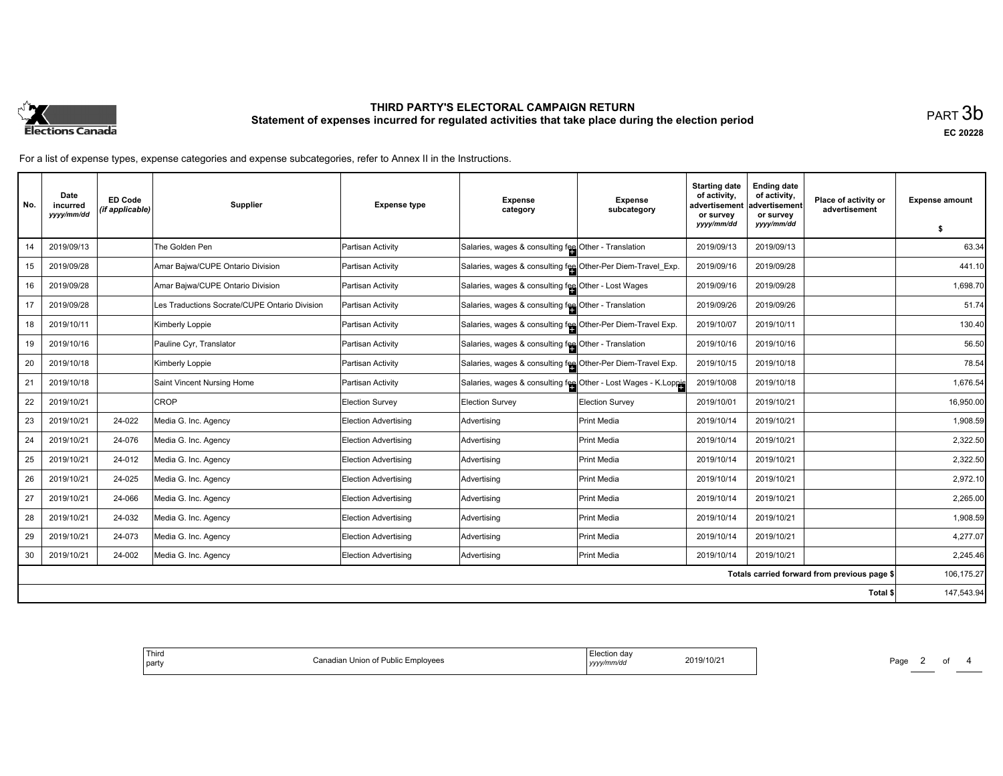

# **THIRD PARTY'S ELECTORAL CAMPAIGN RETURN Statement of expenses incurred for regulated activities that take place during the election period**<br>PART  $3\mathsf{b}$

**EC 20228**

For a list of expense types, expense categories and expense subcategories, refer to Annex II in the Instructions.

| No. | Date<br>incurred<br>yyyy/mm/dd | <b>ED Code</b><br>(if applicable) | <b>Supplier</b>                               | <b>Expense type</b>         | <b>Expense</b><br>category                                     | <b>Expense</b><br>subcategory | <b>Starting date</b><br>of activity,<br>advertisement<br>or survey | <b>Ending date</b><br>of activity,<br>advertisement<br>or survey | Place of activity or<br>advertisement        | <b>Expense amount</b> |
|-----|--------------------------------|-----------------------------------|-----------------------------------------------|-----------------------------|----------------------------------------------------------------|-------------------------------|--------------------------------------------------------------------|------------------------------------------------------------------|----------------------------------------------|-----------------------|
|     |                                |                                   |                                               |                             |                                                                |                               | yyyy/mm/dd                                                         | yyyy/mm/dd                                                       |                                              | \$                    |
| 14  | 2019/09/13                     |                                   | The Golden Pen                                | Partisan Activity           | Salaries, wages & consulting fee Other - Translation           |                               | 2019/09/13                                                         | 2019/09/13                                                       |                                              | 63.34                 |
| 15  | 2019/09/28                     |                                   | Amar Bajwa/CUPE Ontario Division              | Partisan Activity           | Salaries, wages & consulting fee Other-Per Diem-Travel_Exp.    |                               | 2019/09/16                                                         | 2019/09/28                                                       |                                              | 441.10                |
| 16  | 2019/09/28                     |                                   | Amar Bajwa/CUPE Ontario Division              | Partisan Activity           | Salaries, wages & consulting fee Other - Lost Wages            |                               | 2019/09/16                                                         | 2019/09/28                                                       |                                              | 1,698.70              |
| 17  | 2019/09/28                     |                                   | Les Traductions Socrate/CUPE Ontario Division | Partisan Activity           | Salaries, wages & consulting fee Other - Translation           |                               | 2019/09/26                                                         | 2019/09/26                                                       |                                              | 51.74                 |
| 18  | 2019/10/11                     |                                   | Kimberly Loppie                               | Partisan Activity           | Salaries, wages & consulting fee Other-Per Diem-Travel Exp.    |                               | 2019/10/07                                                         | 2019/10/11                                                       |                                              | 130.40                |
| 19  | 2019/10/16                     |                                   | Pauline Cyr, Translator                       | Partisan Activity           | Salaries, wages & consulting fee Other - Translation           |                               | 2019/10/16                                                         | 2019/10/16                                                       |                                              | 56.50                 |
| 20  | 2019/10/18                     |                                   | Kimberly Loppie                               | Partisan Activity           | Salaries, wages & consulting fee Other-Per Diem-Travel Exp.    |                               | 2019/10/15                                                         | 2019/10/18                                                       |                                              | 78.54                 |
| 21  | 2019/10/18                     |                                   | Saint Vincent Nursing Home                    | Partisan Activity           | Salaries, wages & consulting fee Other - Lost Wages - K.Loppie |                               | 2019/10/08                                                         | 2019/10/18                                                       |                                              | 1,676.54              |
| 22  | 2019/10/21                     |                                   | <b>CROP</b>                                   | Election Survey             | <b>Election Survey</b>                                         | <b>Election Survey</b>        | 2019/10/01                                                         | 2019/10/21                                                       |                                              | 16,950.00             |
| 23  | 2019/10/21                     | 24-022                            | Media G. Inc. Agency                          | <b>Election Advertising</b> | Advertising                                                    | Print Media                   | 2019/10/14                                                         | 2019/10/21                                                       |                                              | 1,908.59              |
| 24  | 2019/10/21                     | 24-076                            | Media G. Inc. Agency                          | <b>Election Advertising</b> | Advertising                                                    | Print Media                   | 2019/10/14                                                         | 2019/10/21                                                       |                                              | 2,322.50              |
| 25  | 2019/10/21                     | 24-012                            | Media G. Inc. Agency                          | <b>Election Advertising</b> | Advertising                                                    | Print Media                   | 2019/10/14                                                         | 2019/10/21                                                       |                                              | 2,322.50              |
| 26  | 2019/10/21                     | 24-025                            | Media G. Inc. Agency                          | <b>Election Advertising</b> | Advertising                                                    | Print Media                   | 2019/10/14                                                         | 2019/10/21                                                       |                                              | 2,972.10              |
| 27  | 2019/10/21                     | 24-066                            | Media G. Inc. Agency                          | Election Advertising        | Advertising                                                    | Print Media                   | 2019/10/14                                                         | 2019/10/21                                                       |                                              | 2.265.00              |
| 28  | 2019/10/21                     | 24-032                            | Media G. Inc. Agency                          | <b>Election Advertising</b> | Advertising                                                    | Print Media                   | 2019/10/14                                                         | 2019/10/21                                                       |                                              | 1,908.59              |
| 29  | 2019/10/21                     | 24-073                            | Media G. Inc. Agency                          | <b>Election Advertising</b> | Advertising                                                    | Print Media                   | 2019/10/14                                                         | 2019/10/21                                                       |                                              | 4,277.07              |
| 30  | 2019/10/21                     | 24-002                            | Media G. Inc. Agency                          | <b>Election Advertising</b> | Advertising                                                    | Print Media                   | 2019/10/14                                                         | 2019/10/21                                                       |                                              | 2,245.46              |
|     |                                |                                   |                                               |                             |                                                                |                               |                                                                    |                                                                  | Totals carried forward from previous page \$ | 106,175.27            |
|     |                                |                                   |                                               |                             |                                                                |                               |                                                                    |                                                                  | Total \$                                     | 147,543.94            |

| ∃lection dav<br>2019/10/21<br>n Union of Public Employees<br>`onodion<br>nura<br>yyyy/mm/dd<br>,,,,, | Third<br>party |  |  |
|------------------------------------------------------------------------------------------------------|----------------|--|--|
|------------------------------------------------------------------------------------------------------|----------------|--|--|

Page 2 of 4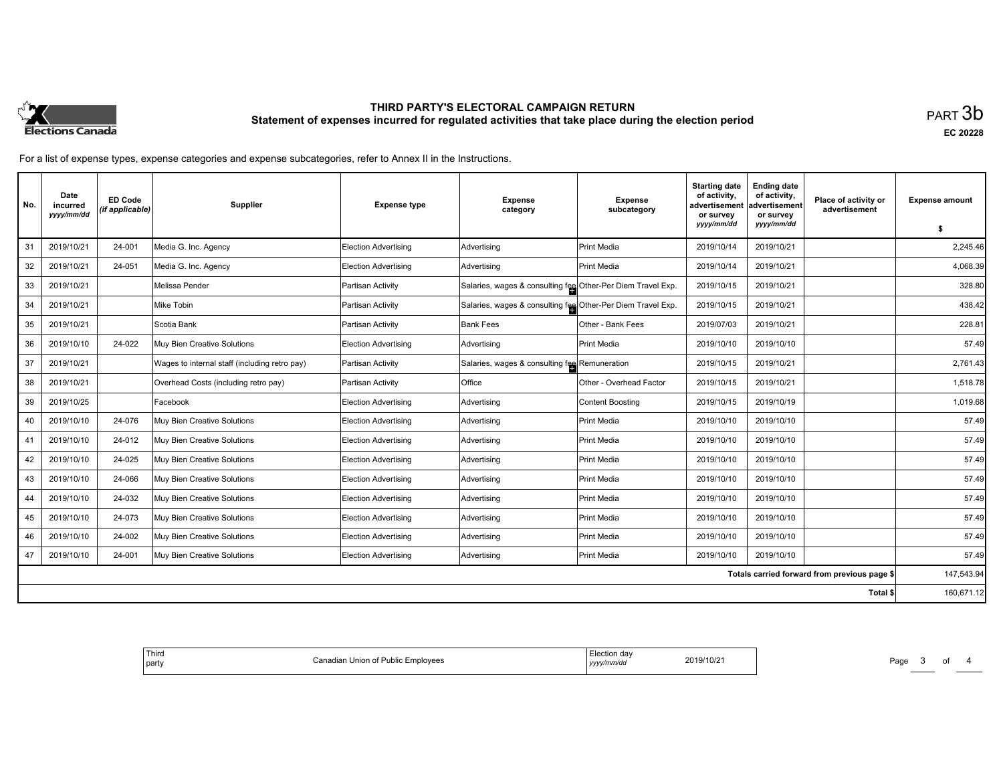

# **THIRD PARTY'S ELECTORAL CAMPAIGN RETURN Statement of expenses incurred for regulated activities that take place during the election period**<br>PART  $3\mathsf{b}$

**EC 20228**

For a list of expense types, expense categories and expense subcategories, refer to Annex II in the Instructions.

| No. | Date<br>incurred<br>yyyy/mm/dd | <b>ED Code</b><br>(if applicable) | Supplier                                      | <b>Expense type</b>         | <b>Expense</b><br>category                                  | <b>Expense</b><br>subcategory | <b>Starting date</b><br>of activity,<br>advertisement<br>or survey | <b>Ending date</b><br>of activity,<br>advertisement<br>or survey | Place of activity or<br>advertisement        | <b>Expense amount</b> |
|-----|--------------------------------|-----------------------------------|-----------------------------------------------|-----------------------------|-------------------------------------------------------------|-------------------------------|--------------------------------------------------------------------|------------------------------------------------------------------|----------------------------------------------|-----------------------|
|     |                                |                                   |                                               |                             |                                                             |                               | yyyy/mm/dd                                                         | yyyy/mm/dd                                                       |                                              | \$                    |
| 31  | 2019/10/21                     | 24-001                            | Media G. Inc. Agency                          | <b>Election Advertising</b> | Advertising                                                 | Print Media                   | 2019/10/14                                                         | 2019/10/21                                                       |                                              | 2,245.46              |
| 32  | 2019/10/21                     | 24-051                            | Media G. Inc. Agency                          | <b>Election Advertising</b> | Advertising                                                 | <b>Print Media</b>            | 2019/10/14                                                         | 2019/10/21                                                       |                                              | 4,068.39              |
| 33  | 2019/10/21                     |                                   | Melissa Pender                                | Partisan Activity           | Salaries, wages & consulting fee Other-Per Diem Travel Exp. |                               | 2019/10/15                                                         | 2019/10/21                                                       |                                              | 328.80                |
| 34  | 2019/10/21                     |                                   | Mike Tobin                                    | Partisan Activity           | Salaries, wages & consulting fee Other-Per Diem Travel Exp. |                               | 2019/10/15                                                         | 2019/10/21                                                       |                                              | 438.42                |
| 35  | 2019/10/21                     |                                   | Scotia Bank                                   | Partisan Activity           | <b>Bank Fees</b>                                            | Other - Bank Fees             | 2019/07/03                                                         | 2019/10/21                                                       |                                              | 228.81                |
| 36  | 2019/10/10                     | 24-022                            | Muy Bien Creative Solutions                   | Election Advertising        | Advertising                                                 | <b>Print Media</b>            | 2019/10/10                                                         | 2019/10/10                                                       |                                              | 57.49                 |
| 37  | 2019/10/21                     |                                   | Wages to internal staff (including retro pay) | Partisan Activity           | Salaries, wages & consulting fee Remuneration               |                               | 2019/10/15                                                         | 2019/10/21                                                       |                                              | 2,761.43              |
| 38  | 2019/10/21                     |                                   | Overhead Costs (including retro pay)          | Partisan Activity           | <b>Office</b>                                               | Other - Overhead Factor       | 2019/10/15                                                         | 2019/10/21                                                       |                                              | 1,518.78              |
| 39  | 2019/10/25                     |                                   | Facebook                                      | <b>Election Advertising</b> | Advertising                                                 | Content Boosting              | 2019/10/15                                                         | 2019/10/19                                                       |                                              | 1,019.68              |
| 40  | 2019/10/10                     | 24-076                            | Muy Bien Creative Solutions                   | <b>Election Advertising</b> | Advertising                                                 | <b>Print Media</b>            | 2019/10/10                                                         | 2019/10/10                                                       |                                              | 57.49                 |
| 41  | 2019/10/10                     | 24-012                            | Muy Bien Creative Solutions                   | <b>Election Advertising</b> | Advertising                                                 | <b>Print Media</b>            | 2019/10/10                                                         | 2019/10/10                                                       |                                              | 57.49                 |
| 42  | 2019/10/10                     | 24-025                            | Muy Bien Creative Solutions                   | <b>Election Advertising</b> | Advertising                                                 | Print Media                   | 2019/10/10                                                         | 2019/10/10                                                       |                                              | 57.49                 |
| 43  | 2019/10/10                     | 24-066                            | Muy Bien Creative Solutions                   | <b>Election Advertising</b> | Advertising                                                 | Print Media                   | 2019/10/10                                                         | 2019/10/10                                                       |                                              | 57.49                 |
| 44  | 2019/10/10                     | 24-032                            | Muy Bien Creative Solutions                   | <b>Election Advertising</b> | Advertising                                                 | <b>Print Media</b>            | 2019/10/10                                                         | 2019/10/10                                                       |                                              | 57.49                 |
| 45  | 2019/10/10                     | 24-073                            | Muy Bien Creative Solutions                   | <b>Election Advertising</b> | Advertising                                                 | Print Media                   | 2019/10/10                                                         | 2019/10/10                                                       |                                              | 57.49                 |
| 46  | 2019/10/10                     | 24-002                            | Muy Bien Creative Solutions                   | <b>Election Advertising</b> | Advertising                                                 | Print Media                   | 2019/10/10                                                         | 2019/10/10                                                       |                                              | 57.49                 |
| 47  | 2019/10/10                     | 24-001                            | Muy Bien Creative Solutions                   | <b>Election Advertising</b> | Advertising                                                 | <b>Print Media</b>            | 2019/10/10                                                         | 2019/10/10                                                       |                                              | 57.49                 |
|     |                                |                                   |                                               |                             |                                                             |                               |                                                                    |                                                                  | Totals carried forward from previous page \$ | 147,543.94            |
|     |                                |                                   |                                               |                             |                                                             |                               |                                                                    |                                                                  | Total \$                                     | 160,671.12            |

| Election day<br>2019/10/21<br>t Union of Public Emplovees ا<br>`onodion<br>.<br>iauiar<br>vyyy/mm/dd<br>, , , , , |
|-------------------------------------------------------------------------------------------------------------------|
|-------------------------------------------------------------------------------------------------------------------|

Page 3 of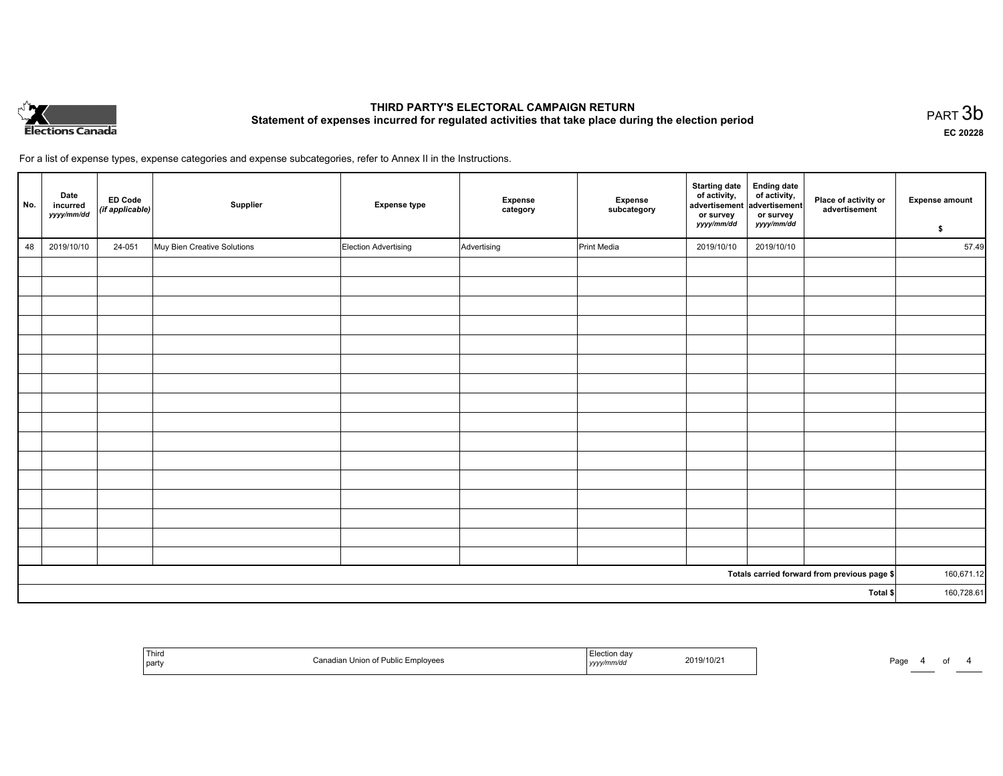

# **THIRD PARTY'S ELECTORAL CAMPAIGN RETURN Statement of expenses incurred for regulated activities that take place during the election period**<br>PART  $3b$

**EC 20228**

For a list of expense types, expense categories and expense subcategories, refer to Annex II in the Instructions.

| No. | Date<br>incurred<br>yyyy/mm/dd | <b>ED Code</b><br>$($ if applicable $)$ | Supplier                    | <b>Expense type</b>  | Expense<br>category | Expense<br>subcategory | Starting date Ending date<br>of activity, of activity,<br>advertisement advertisement<br>or survey<br>yyyy/mm/dd | or survey<br>yyyy/mm/dd | Place of activity or<br>advertisement        | <b>Expense amount</b><br>\$ |
|-----|--------------------------------|-----------------------------------------|-----------------------------|----------------------|---------------------|------------------------|------------------------------------------------------------------------------------------------------------------|-------------------------|----------------------------------------------|-----------------------------|
| 48  | 2019/10/10                     | 24-051                                  | Muy Bien Creative Solutions | Election Advertising | Advertising         | Print Media            | 2019/10/10                                                                                                       | 2019/10/10              |                                              | 57.49                       |
|     |                                |                                         |                             |                      |                     |                        |                                                                                                                  |                         |                                              |                             |
|     |                                |                                         |                             |                      |                     |                        |                                                                                                                  |                         |                                              |                             |
|     |                                |                                         |                             |                      |                     |                        |                                                                                                                  |                         |                                              |                             |
|     |                                |                                         |                             |                      |                     |                        |                                                                                                                  |                         |                                              |                             |
|     |                                |                                         |                             |                      |                     |                        |                                                                                                                  |                         |                                              |                             |
|     |                                |                                         |                             |                      |                     |                        |                                                                                                                  |                         |                                              |                             |
|     |                                |                                         |                             |                      |                     |                        |                                                                                                                  |                         |                                              |                             |
|     |                                |                                         |                             |                      |                     |                        |                                                                                                                  |                         |                                              |                             |
|     |                                |                                         |                             |                      |                     |                        |                                                                                                                  |                         |                                              |                             |
|     |                                |                                         |                             |                      |                     |                        |                                                                                                                  |                         |                                              |                             |
|     |                                |                                         |                             |                      |                     |                        |                                                                                                                  |                         |                                              |                             |
|     |                                |                                         |                             |                      |                     |                        |                                                                                                                  |                         |                                              |                             |
|     |                                |                                         |                             |                      |                     |                        |                                                                                                                  |                         |                                              |                             |
|     |                                |                                         |                             |                      |                     |                        |                                                                                                                  |                         |                                              |                             |
|     |                                |                                         |                             |                      |                     |                        |                                                                                                                  |                         |                                              |                             |
|     |                                |                                         |                             |                      |                     |                        |                                                                                                                  |                         |                                              |                             |
|     |                                |                                         |                             |                      |                     |                        |                                                                                                                  |                         | Totals carried forward from previous page \$ | 160,671.12                  |
|     |                                |                                         |                             |                      |                     |                        |                                                                                                                  |                         | Total \$                                     | 160,728.61                  |

| <sup>'</sup> Thirc<br>l party | Public Employees<br>⊿dian Union of <del>F</del><br>. . | 2019/10/2<br>yyyy/mm/dd | Page |
|-------------------------------|--------------------------------------------------------|-------------------------|------|
|-------------------------------|--------------------------------------------------------|-------------------------|------|